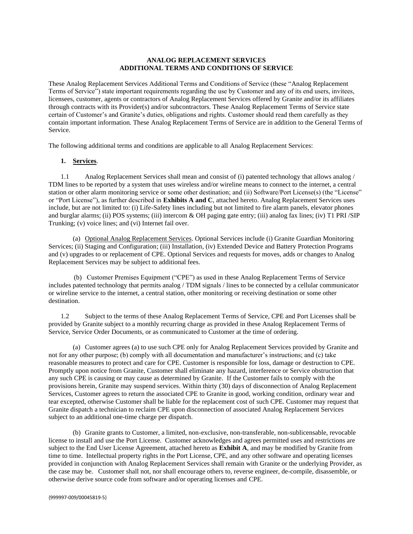#### **ANALOG REPLACEMENT SERVICES ADDITIONAL TERMS AND CONDITIONS OF SERVICE**

These Analog Replacement Services Additional Terms and Conditions of Service (these "Analog Replacement Terms of Service") state important requirements regarding the use by Customer and any of its end users, invitees, licensees, customer, agents or contractors of Analog Replacement Services offered by Granite and/or its affiliates through contracts with its Provider(s) and/or subcontractors. These Analog Replacement Terms of Service state certain of Customer's and Granite's duties, obligations and rights. Customer should read them carefully as they contain important information. These Analog Replacement Terms of Service are in addition to the General Terms of Service.

The following additional terms and conditions are applicable to all Analog Replacement Services:

#### **1. Services**.

1.1 Analog Replacement Services shall mean and consist of (i) patented technology that allows analog / TDM lines to be reported by a system that uses wireless and/or wireline means to connect to the internet, a central station or other alarm monitoring service or some other destination; and (ii) Software/Port License(s) (the "License" or "Port License"), as further described in **Exhibits A and C**, attached hereto. Analog Replacement Services uses include, but are not limited to: (i) Life-Safety lines including but not limited to fire alarm panels, elevator phones and burglar alarms; (ii) POS systems; (iii) intercom & OH paging gate entry; (iii) analog fax lines; (iv) T1 PRI /SIP Trunking; (v) voice lines; and (vi) Internet fail over.

(a) Optional Analog Replacement Services. Optional Services include (i) Granite Guardian Monitoring Services; (ii) Staging and Configuration; (iii) Installation, (iv) Extended Device and Battery Protection Programs and (v) upgrades to or replacement of CPE. Optional Services and requests for moves, adds or changes to Analog Replacement Services may be subject to additional fees.

 (b) Customer Premises Equipment ("CPE") as used in these Analog Replacement Terms of Service includes patented technology that permits analog / TDM signals / lines to be connected by a cellular communicator or wireline service to the internet, a central station, other monitoring or receiving destination or some other destination.

1.2 Subject to the terms of these Analog Replacement Terms of Service, CPE and Port Licenses shall be provided by Granite subject to a monthly recurring charge as provided in these Analog Replacement Terms of Service, Service Order Documents, or as communicated to Customer at the time of ordering.

(a) Customer agrees (a) to use such CPE only for Analog Replacement Services provided by Granite and not for any other purpose; (b) comply with all documentation and manufacturer's instructions; and (c) take reasonable measures to protect and care for CPE. Customer is responsible for loss, damage or destruction to CPE. Promptly upon notice from Granite, Customer shall eliminate any hazard, interference or Service obstruction that any such CPE is causing or may cause as determined by Granite. If the Customer fails to comply with the provisions herein, Granite may suspend services. Within thirty (30) days of disconnection of Analog Replacement Services, Customer agrees to return the associated CPE to Granite in good, working condition, ordinary wear and tear excepted, otherwise Customer shall be liable for the replacement cost of such CPE. Customer may request that Granite dispatch a technician to reclaim CPE upon disconnection of associated Analog Replacement Services subject to an additional one-time charge per dispatch.

(b) Granite grants to Customer, a limited, non-exclusive, non-transferable, non-sublicensable, revocable license to install and use the Port License. Customer acknowledges and agrees permitted uses and restrictions are subject to the End User License Agreement, attached hereto as **Exhibit A**, and may be modified by Granite from time to time. Intellectual property rights in the Port License, CPE, and any other software and operating licenses provided in conjunction with Analog Replacement Services shall remain with Granite or the underlying Provider, as the case may be. Customer shall not, nor shall encourage others to, reverse engineer, de-compile, disassemble, or otherwise derive source code from software and/or operating licenses and CPE.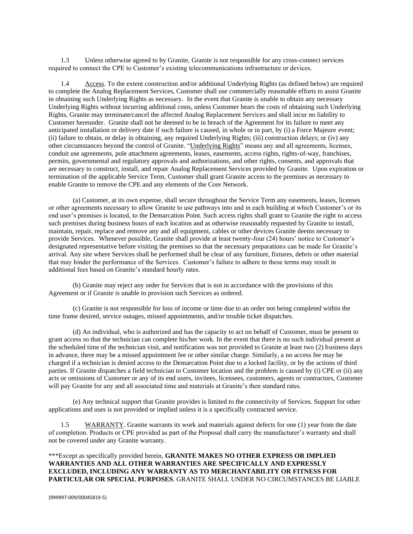1.3 Unless otherwise agreed to by Granite, Granite is not responsible for any cross-connect services required to connect the CPE to Customer's existing telecommunications infrastructure or devices.

1.4 Access. To the extent construction and/or additional Underlying Rights (as defined below) are required to complete the Analog Replacement Services, Customer shall use commercially reasonable efforts to assist Granite in obtaining such Underlying Rights as necessary. In the event that Granite is unable to obtain any necessary Underlying Rights without incurring additional costs, unless Customer bears the costs of obtaining such Underlying Rights, Granite may terminate/cancel the affected Analog Replacement Services and shall incur no liability to Customer hereunder. Granite shall not be deemed to be in breach of the Agreement for its failure to meet any anticipated installation or delivery date if such failure is caused, in whole or in part, by (i) a Force Majeure event; (ii) failure to obtain, or delay in obtaining, any required Underlying Rights; (iii) construction delays; or (iv) any other circumstances beyond the control of Granite. "Underlying Rights" means any and all agreements, licenses, conduit use agreements, pole attachment agreements, leases, easements, access rights, rights-of-way, franchises, permits, governmental and regulatory approvals and authorizations, and other rights, consents, and approvals that are necessary to construct, install, and repair Analog Replacement Services provided by Granite. Upon expiration or termination of the applicable Service Term, Customer shall grant Granite access to the premises as necessary to enable Granite to remove the CPE and any elements of the Core Network.

(a) Customer, at its own expense, shall secure throughout the Service Term any easements, leases, licenses or other agreements necessary to allow Granite to use pathways into and in each building at which Customer's or its end user's premises is located, to the Demarcation Point. Such access rights shall grant to Granite the right to access such premises during business hours of each location and as otherwise reasonably requested by Granite to install, maintain, repair, replace and remove any and all equipment, cables or other devices Granite deems necessary to provide Services. Whenever possible, Granite shall provide at least twenty-four (24) hours' notice to Customer's designated representative before visiting the premises so that the necessary preparations can be made for Granite's arrival. Any site where Services shall be performed shall be clear of any furniture, fixtures, debris or other material that may hinder the performance of the Services. Customer's failure to adhere to these terms may result in additional fees based on Granite's standard hourly rates.

(b) Granite may reject any order for Services that is not in accordance with the provisions of this Agreement or if Granite is unable to provision such Services as ordered.

(c) Granite is not responsible for loss of income or time due to an order not being completed within the time frame desired, service outages, missed appointments, and/or trouble ticket dispatches.

(d) An individual, who is authorized and has the capacity to act on behalf of Customer, must be present to grant access so that the technician can complete his/her work. In the event that there is no such individual present at the scheduled time of the technician visit, and notification was not provided to Granite at least two (2) business days in advance, there may be a missed appointment fee or other similar charge. Similarly, a no access fee may be charged if a technician is denied access to the Demarcation Point due to a locked facility, or by the actions of third parties. If Granite dispatches a field technician to Customer location and the problem is caused by (i) CPE or (ii) any acts or omissions of Customer or any of its end users, invitees, licensees, customers, agents or contractors, Customer will pay Granite for any and all associated time and materials at Granite's then standard rates.

(e) Any technical support that Granite provides is limited to the connectivity of Services. Support for other applications and uses is not provided or implied unless it is a specifically contracted service.

1.5 WARRANTY. Granite warrants its work and materials against defects for one (1) year from the date of completion. Products or CPE provided as part of the Proposal shall carry the manufacturer's warranty and shall not be covered under any Granite warranty.

\*\*\*Except as specifically provided herein, **GRANITE MAKES NO OTHER EXPRESS OR IMPLIED WARRANTIES AND ALL OTHER WARRANTIES ARE SPECIFICALLY AND EXPRESSLY EXCLUDED, INCLUDING ANY WARRANTY AS TO MERCHANTABILITY OR FITNESS FOR PARTICULAR OR SPECIAL PURPOSES**. GRANITE SHALL UNDER NO CIRCUMSTANCES BE LIABLE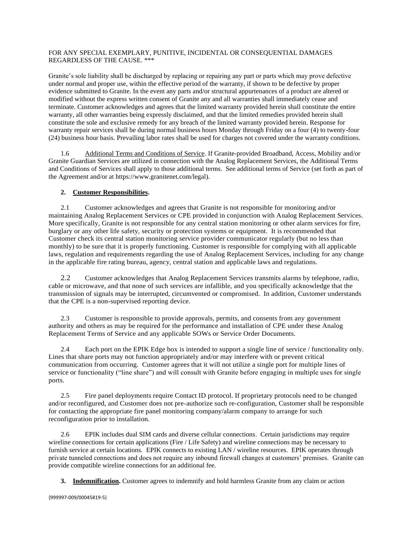### FOR ANY SPECIAL EXEMPLARY, PUNITIVE, INCIDENTAL OR CONSEQUENTIAL DAMAGES REGARDLESS OF THE CAUSE. \*\*\*

Granite's sole liability shall be discharged by replacing or repairing any part or parts which may prove defective under normal and proper use, within the effective period of the warranty, if shown to be defective by proper evidence submitted to Granite. In the event any parts and/or structural appurtenances of a product are altered or modified without the express written consent of Granite any and all warranties shall immediately cease and terminate. Customer acknowledges and agrees that the limited warranty provided herein shall constitute the entire warranty, all other warranties being expressly disclaimed, and that the limited remedies provided herein shall constitute the sole and exclusive remedy for any breach of the limited warranty provided herein. Response for warranty repair services shall be during normal business hours Monday through Friday on a four (4) to twenty-four (24) business hour basis. Prevailing labor rates shall be used for charges not covered under the warranty conditions.

1.6 Additional Terms and Conditions of Service. If Granite-provided Broadband, Access, Mobility and/or Granite Guardian Services are utilized in connection with the Analog Replacement Services, the Additional Terms and Conditions of Services shall apply to those additional terms. See additional terms of Service (set forth as part of the Agreement and/or at [https://www.granitenet.com/legal\)](https://www.granitenet.com/legal).

# **2. Customer Responsibilities.**

2.1 Customer acknowledges and agrees that Granite is not responsible for monitoring and/or maintaining Analog Replacement Services or CPE provided in conjunction with Analog Replacement Services. More specifically, Granite is not responsible for any central station monitoring or other alarm services for fire, burglary or any other life safety, security or protection systems or equipment. It is recommended that Customer check its central station monitoring service provider communicator regularly (but no less than monthly) to be sure that it is properly functioning. Customer is responsible for complying with all applicable laws, regulation and requirements regarding the use of Analog Replacement Services, including for any change in the applicable fire rating bureau, agency, central station and applicable laws and regulations.

2.2 Customer acknowledges that Analog Replacement Services transmits alarms by telephone, radio, cable or microwave, and that none of such services are infallible, and you specifically acknowledge that the transmission of signals may be interrupted, circumvented or compromised. In addition, Customer understands that the CPE is a non-supervised reporting device.

2.3 Customer is responsible to provide approvals, permits, and consents from any government authority and others as may be required for the performance and installation of CPE under these Analog Replacement Terms of Service and any applicable SOWs or Service Order Documents.

2.4 Each port on the EPIK Edge box is intended to support a single line of service / functionality only. Lines that share ports may not function appropriately and/or may interfere with or prevent critical communication from occurring. Customer agrees that it will not utilize a single port for multiple lines of service or functionality ("line share") and will consult with Granite before engaging in multiple uses for single ports.

2.5 Fire panel deployments require Contact ID protocol. If proprietary protocols need to be changed and/or reconfigured, and Customer does not pre-authorize such re-configuration, Customer shall be responsible for contacting the appropriate fire panel monitoring company/alarm company to arrange for such reconfiguration prior to installation.

2.6 EPIK includes dual SIM cards and diverse cellular connections. Certain jurisdictions may require wireline connections for certain applications (Fire / Life Safety) and wireline connections may be necessary to furnish service at certain locations. EPIK connects to existing LAN / wireline resources. EPIK operates through private tunneled connections and does not require any inbound firewall changes at customers' premises. Granite can provide compatible wireline connections for an additional fee.

**3. Indemnification.** Customer agrees to indemnify and hold harmless Granite from any claim or action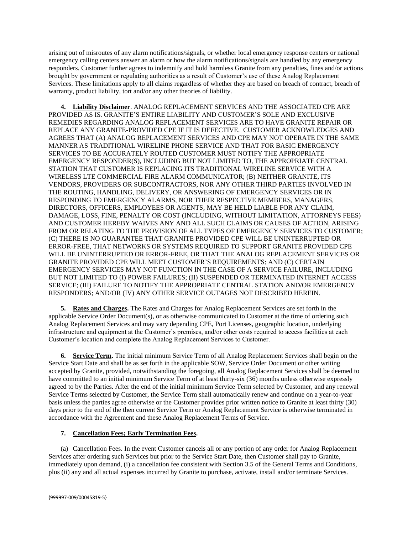arising out of misroutes of any alarm notifications/signals, or whether local emergency response centers or national emergency calling centers answer an alarm or how the alarm notifications/signals are handled by any emergency responders. Customer further agrees to indemnify and hold harmless Granite from any penalties, fines and/or actions brought by government or regulating authorities as a result of Customer's use of these Analog Replacement Services. These limitations apply to all claims regardless of whether they are based on breach of contract, breach of warranty, product liability, tort and/or any other theories of liability.

**4. Liability Disclaimer**. ANALOG REPLACEMENT SERVICES AND THE ASSOCIATED CPE ARE PROVIDED AS IS. GRANITE'S ENTIRE LIABILITY AND CUSTOMER'S SOLE AND EXCLUSIVE REMEDIES REGARDING ANALOG REPLACEMENT SERVICES ARE TO HAVE GRANITE REPAIR OR REPLACE ANY GRANITE-PROVIDED CPE IF IT IS DEFECTIVE. CUSTOMER ACKNOWLEDGES AND AGREES THAT (A) ANALOG REPLACEMENT SERVICES AND CPE MAY NOT OPERATE IN THE SAME MANNER AS TRADITIONAL WIRELINE PHONE SERVICE AND THAT FOR BASIC EMERGENCY SERVICES TO BE ACCURATELY ROUTED CUSTOMER MUST NOTIFY THE APPROPRIATE EMERGENCY RESPONDER(S), INCLUDING BUT NOT LIMITED TO, THE APPROPRIATE CENTRAL STATION THAT CUSTOMER IS REPLACING ITS TRADITIONAL WIRELINE SERVICE WITH A WIRELESS LTE COMMERCIAL FIRE ALARM COMMUNICATOR; (B) NEITHER GRANITE, ITS VENDORS, PROVIDERS OR SUBCONTRACTORS, NOR ANY OTHER THIRD PARTIES INVOLVED IN THE ROUTING, HANDLING, DELIVERY, OR ANSWERING OF EMERGENCY SERVICES OR IN RESPONDING TO EMERGENCY ALARMS, NOR THEIR RESPECTIVE MEMBERS, MANAGERS, DIRECTORS, OFFICERS, EMPLOYEES OR AGENTS, MAY BE HELD LIABLE FOR ANY CLAIM, DAMAGE, LOSS, FINE, PENALTY OR COST (INCLUDING, WITHOUT LIMITATION, ATTORNEYS FEES) AND CUSTOMER HEREBY WAIVES ANY AND ALL SUCH CLAIMS OR CAUSES OF ACTION, ARISING FROM OR RELATING TO THE PROVISION OF ALL TYPES OF EMERGENCY SERVICES TO CUSTOMER; (C) THERE IS NO GUARANTEE THAT GRANITE PROVIDED CPE WILL BE UNINTERRUPTED OR ERROR-FREE, THAT NETWORKS OR SYSTEMS REQUIRED TO SUPPORT GRANITE PROVIDED CPE WILL BE UNINTERRUPTED OR ERROR-FREE, OR THAT THE ANALOG REPLACEMENT SERVICES OR GRANITE PROVIDED CPE WILL MEET CUSTOMER'S REQUIREMENTS; AND (C) CERTAIN EMERGENCY SERVICES MAY NOT FUNCTION IN THE CASE OF A SERVICE FAILURE, INCLUDING BUT NOT LIMITED TO (I) POWER FAILURES; (II) SUSPENDED OR TERMINATED INTERNET ACCESS SERVICE; (III) FAILURE TO NOTIFY THE APPROPRIATE CENTRAL STATION AND/OR EMERGENCY RESPONDERS; AND/OR (IV) ANY OTHER SERVICE OUTAGES NOT DESCRIBED HEREIN.

**5. Rates and Charges.** The Rates and Charges for Analog Replacement Services are set forth in the applicable Service Order Document(s), or as otherwise communicated to Customer at the time of ordering such Analog Replacement Services and may vary depending CPE, Port Licenses, geographic location, underlying infrastructure and equipment at the Customer's premises, and/or other costs required to access facilities at each Customer's location and complete the Analog Replacement Services to Customer.

**6. Service Term.** The initial minimum Service Term of all Analog Replacement Services shall begin on the Service Start Date and shall be as set forth in the applicable SOW, Service Order Document or other writing accepted by Granite, provided, notwithstanding the foregoing, all Analog Replacement Services shall be deemed to have committed to an initial minimum Service Term of at least thirty-six (36) months unless otherwise expressly agreed to by the Parties. After the end of the initial minimum Service Term selected by Customer, and any renewal Service Terms selected by Customer, the Service Term shall automatically renew and continue on a year-to-year basis unless the parties agree otherwise or the Customer provides prior written notice to Granite at least thirty (30) days prior to the end of the then current Service Term or Analog Replacement Service is otherwise terminated in accordance with the Agreement and these Analog Replacement Terms of Service.

# **7. Cancellation Fees; Early Termination Fees.**

(a) Cancellation Fees. In the event Customer cancels all or any portion of any order for Analog Replacement Services after ordering such Services but prior to the Service Start Date, then Customer shall pay to Granite, immediately upon demand, (i) a cancellation fee consistent with Section 3.5 of the General Terms and Conditions, plus (ii) any and all actual expenses incurred by Granite to purchase, activate, install and/or terminate Services.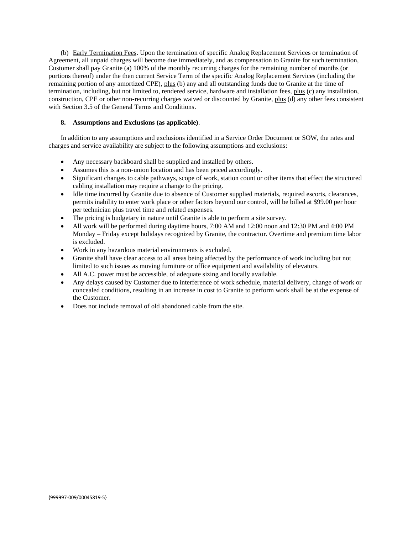(b) Early Termination Fees. Upon the termination of specific Analog Replacement Services or termination of Agreement, all unpaid charges will become due immediately, and as compensation to Granite for such termination, Customer shall pay Granite (a) 100% of the monthly recurring charges for the remaining number of months (or portions thereof) under the then current Service Term of the specific Analog Replacement Services (including the remaining portion of any amortized CPE), plus (b) any and all outstanding funds due to Granite at the time of termination, including, but not limited to, rendered service, hardware and installation fees, plus (c) any installation, construction, CPE or other non-recurring charges waived or discounted by Granite, plus (d) any other fees consistent with Section 3.5 of the General Terms and Conditions.

#### **8. Assumptions and Exclusions (as applicable)**.

In addition to any assumptions and exclusions identified in a Service Order Document or SOW, the rates and charges and service availability are subject to the following assumptions and exclusions:

- Any necessary backboard shall be supplied and installed by others.
- Assumes this is a non-union location and has been priced accordingly.
- Significant changes to cable pathways, scope of work, station count or other items that effect the structured cabling installation may require a change to the pricing.
- Idle time incurred by Granite due to absence of Customer supplied materials, required escorts, clearances, permits inability to enter work place or other factors beyond our control, will be billed at \$99.00 per hour per technician plus travel time and related expenses.
- The pricing is budgetary in nature until Granite is able to perform a site survey.
- All work will be performed during daytime hours, 7:00 AM and 12:00 noon and 12:30 PM and 4:00 PM Monday – Friday except holidays recognized by Granite, the contractor. Overtime and premium time labor is excluded.
- Work in any hazardous material environments is excluded.
- Granite shall have clear access to all areas being affected by the performance of work including but not limited to such issues as moving furniture or office equipment and availability of elevators.
- All A.C. power must be accessible, of adequate sizing and locally available.
- Any delays caused by Customer due to interference of work schedule, material delivery, change of work or concealed conditions, resulting in an increase in cost to Granite to perform work shall be at the expense of the Customer.
- Does not include removal of old abandoned cable from the site.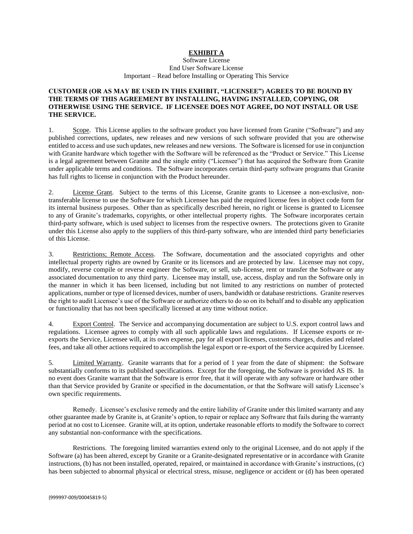# **EXHIBIT A**

Software License End User Software License Important – Read before Installing or Operating This Service

### **CUSTOMER (OR AS MAY BE USED IN THIS EXHIBIT, "LICENSEE") AGREES TO BE BOUND BY THE TERMS OF THIS AGREEMENT BY INSTALLING, HAVING INSTALLED, COPYING, OR OTHERWISE USING THE SERVICE. IF LICENSEE DOES NOT AGREE, DO NOT INSTALL OR USE THE SERVICE.**

1. Scope. This License applies to the software product you have licensed from Granite ("Software") and any published corrections, updates, new releases and new versions of such software provided that you are otherwise entitled to access and use such updates, new releases and new versions. The Software is licensed for use in conjunction with Granite hardware which together with the Software will be referenced as the "Product or Service." This License is a legal agreement between Granite and the single entity ("Licensee") that has acquired the Software from Granite under applicable terms and conditions. The Software incorporates certain third-party software programs that Granite has full rights to license in conjunction with the Product hereunder.

2. License Grant. Subject to the terms of this License, Granite grants to Licensee a non-exclusive, nontransferable license to use the Software for which Licensee has paid the required license fees in object code form for its internal business purposes. Other than as specifically described herein, no right or license is granted to Licensee to any of Granite's trademarks, copyrights, or other intellectual property rights. The Software incorporates certain third-party software, which is used subject to licenses from the respective owners. The protections given to Granite under this License also apply to the suppliers of this third-party software, who are intended third party beneficiaries of this License.

3. Restrictions; Remote Access. The Software, documentation and the associated copyrights and other intellectual property rights are owned by Granite or its licensors and are protected by law. Licensee may not copy, modify, reverse compile or reverse engineer the Software, or sell, sub-license, rent or transfer the Software or any associated documentation to any third party. Licensee may install, use, access, display and run the Software only in the manner in which it has been licensed, including but not limited to any restrictions on number of protected applications, number or type of licensed devices, number of users, bandwidth or database restrictions. Granite reserves the right to audit Licensee's use of the Software or authorize others to do so on its behalf and to disable any application or functionality that has not been specifically licensed at any time without notice.

4. Export Control. The Service and accompanying documentation are subject to U.S. export control laws and regulations. Licensee agrees to comply with all such applicable laws and regulations. If Licensee exports or reexports the Service, Licensee will, at its own expense, pay for all export licenses, customs charges, duties and related fees, and take all other actions required to accomplish the legal export or re-export of the Service acquired by Licensee.

5. Limited Warranty. Granite warrants that for a period of 1 year from the date of shipment: the Software substantially conforms to its published specifications. Except for the foregoing, the Software is provided AS IS. In no event does Granite warrant that the Software is error free, that it will operate with any software or hardware other than that Service provided by Granite or specified in the documentation, or that the Software will satisfy Licensee's own specific requirements.

Remedy. Licensee's exclusive remedy and the entire liability of Granite under this limited warranty and any other guarantee made by Granite is, at Granite's option, to repair or replace any Software that fails during the warranty period at no cost to Licensee. Granite will, at its option, undertake reasonable efforts to modify the Software to correct any substantial non-conformance with the specifications.

Restrictions. The foregoing limited warranties extend only to the original Licensee, and do not apply if the Software (a) has been altered, except by Granite or a Granite-designated representative or in accordance with Granite instructions, (b) has not been installed, operated, repaired, or maintained in accordance with Granite's instructions, (c) has been subjected to abnormal physical or electrical stress, misuse, negligence or accident or (d) has been operated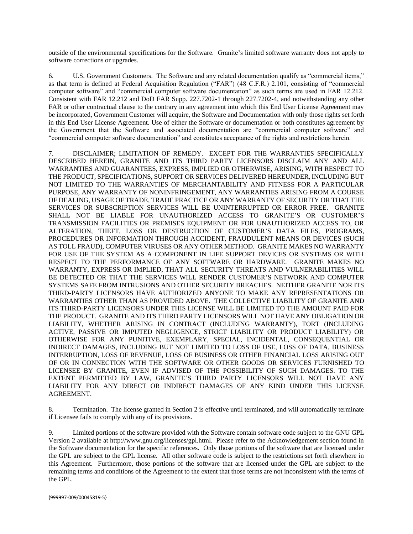outside of the environmental specifications for the Software. Granite's limited software warranty does not apply to software corrections or upgrades.

6. U.S. Government Customers. The Software and any related documentation qualify as "commercial items," as that term is defined at Federal Acquisition Regulation ("FAR") (48 C.F.R.) 2.101, consisting of "commercial computer software" and "commercial computer software documentation" as such terms are used in FAR 12.212. Consistent with FAR 12.212 and DoD FAR Supp. 227.7202-1 through 227.7202-4, and notwithstanding any other FAR or other contractual clause to the contrary in any agreement into which this End User License Agreement may be incorporated, Government Customer will acquire, the Software and Documentation with only those rights set forth in this End User License Agreement. Use of either the Software or documentation or both constitutes agreement by the Government that the Software and associated documentation are "commercial computer software" and "commercial computer software documentation" and constitutes acceptance of the rights and restrictions herein.

7. DISCLAIMER; LIMITATION OF REMEDY. EXCEPT FOR THE WARRANTIES SPECIFICALLY DESCRIBED HEREIN, GRANITE AND ITS THIRD PARTY LICENSORS DISCLAIM ANY AND ALL WARRANTIES AND GUARANTEES, EXPRESS, IMPLIED OR OTHERWISE, ARISING, WITH RESPECT TO THE PRODUCT, SPECIFICATIONS, SUPPORT OR SERVICES DELIVERED HEREUNDER, INCLUDING BUT NOT LIMITED TO THE WARRANTIES OF MERCHANTABILITY AND FITNESS FOR A PARTICULAR PURPOSE, ANY WARRANTY OF NONINFRINGEMENT, ANY WARRANTIES ARISING FROM A COURSE OF DEALING, USAGE OF TRADE, TRADE PRACTICE OR ANY WARRANTY OF SECURITY OR THAT THE SERVICES OR SUBSCRIPTION SERVICES WILL BE UNINTERRUPTED OR ERROR FREE. GRANITE SHALL NOT BE LIABLE FOR UNAUTHORIZED ACCESS TO GRANITE'S OR CUSTOMER'S TRANSMISSION FACILITIES OR PREMISES EQUIPMENT OR FOR UNAUTHORIZED ACCESS TO, OR ALTERATION, THEFT, LOSS OR DESTRUCTION OF CUSTOMER'S DATA FILES, PROGRAMS, PROCEDURES OR INFORMATION THROUGH ACCIDENT, FRAUDULENT MEANS OR DEVICES (SUCH AS TOLL FRAUD), COMPUTER VIRUSES OR ANY OTHER METHOD. GRANITE MAKES NO WARRANTY FOR USE OF THE SYSTEM AS A COMPONENT IN LIFE SUPPORT DEVICES OR SYSTEMS OR WITH RESPECT TO THE PERFORMANCE OF ANY SOFTWARE OR HARDWARE. GRANITE MAKES NO WARRANTY, EXPRESS OR IMPLIED, THAT ALL SECURITY THREATS AND VULNERABILITIES WILL BE DETECTED OR THAT THE SERVICES WILL RENDER CUSTOMER'S NETWORK AND COMPUTER SYSTEMS SAFE FROM INTRUSIONS AND OTHER SECURITY BREACHES. NEITHER GRANITE NOR ITS THIRD-PARTY LICENSORS HAVE AUTHORIZED ANYONE TO MAKE ANY REPRESENTATIONS OR WARRANTIES OTHER THAN AS PROVIDED ABOVE. THE COLLECTIVE LIABILITY OF GRANITE AND ITS THIRD-PARTY LICENSORS UNDER THIS LICENSE WILL BE LIMITED TO THE AMOUNT PAID FOR THE PRODUCT. GRANITE AND ITS THIRD PARTY LICENSORS WILL NOT HAVE ANY OBLIGATION OR LIABILITY, WHETHER ARISING IN CONTRACT (INCLUDING WARRANTY), TORT (INCLUDING ACTIVE, PASSIVE OR IMPUTED NEGLIGENCE, STRICT LIABILITY OR PRODUCT LIABILITY) OR OTHERWISE FOR ANY PUNITIVE, EXEMPLARY, SPECIAL, INCIDENTAL, CONSEQUENTIAL OR INDIRECT DAMAGES, INCLUDING BUT NOT LIMITED TO LOSS OF USE, LOSS OF DATA, BUSINESS INTERRUPTION, LOSS OF REVENUE, LOSS OF BUSINESS OR OTHER FINANCIAL LOSS ARISING OUT OF OR IN CONNECTION WITH THE SOFTWARE OR OTHER GOODS OR SERVICES FURNISHED TO LICENSEE BY GRANITE, EVEN IF ADVISED OF THE POSSIBILITY OF SUCH DAMAGES. TO THE EXTENT PERMITTED BY LAW, GRANITE'S THIRD PARTY LICENSORS WILL NOT HAVE ANY LIABILITY FOR ANY DIRECT OR INDIRECT DAMAGES OF ANY KIND UNDER THIS LICENSE AGREEMENT.

8. Termination. The license granted in Section 2 is effective until terminated, and will automatically terminate if Licensee fails to comply with any of its provisions.

9. Limited portions of the software provided with the Software contain software code subject to the GNU GPL Version 2 available at http://www.gnu.org/licenses/gpl.html. Please refer to the Acknowledgement section found in the Software documentation for the specific references. Only those portions of the software that are licensed under the GPL are subject to the GPL license. All other software code is subject to the restrictions set forth elsewhere in this Agreement. Furthermore, those portions of the software that are licensed under the GPL are subject to the remaining terms and conditions of the Agreement to the extent that those terms are not inconsistent with the terms of the GPL.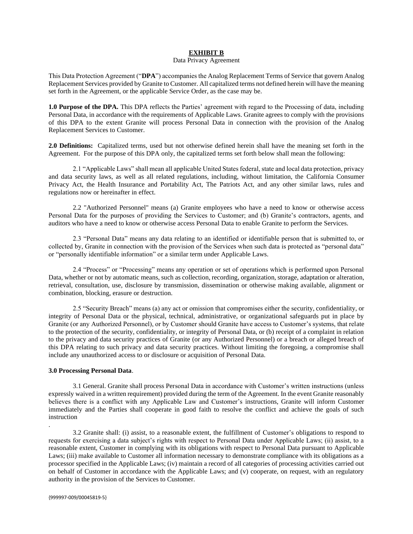#### **EXHIBIT B**

#### Data Privacy Agreement

This Data Protection Agreement ("**DPA**") accompanies the Analog Replacement Terms of Service that govern Analog Replacement Services provided by Granite to Customer. All capitalized terms not defined herein will have the meaning set forth in the Agreement, or the applicable Service Order, as the case may be.

**1.0 Purpose of the DPA.** This DPA reflects the Parties' agreement with regard to the Processing of data, including Personal Data, in accordance with the requirements of Applicable Laws. Granite agrees to comply with the provisions of this DPA to the extent Granite will process Personal Data in connection with the provision of the Analog Replacement Services to Customer.

**2.0 Definitions:** Capitalized terms, used but not otherwise defined herein shall have the meaning set forth in the Agreement. For the purpose of this DPA only, the capitalized terms set forth below shall mean the following:

2.1 "Applicable Laws" shall mean all applicable United States federal, state and local data protection, privacy and data security laws, as well as all related regulations, including, without limitation, the California Consumer Privacy Act, the Health Insurance and Portability Act, The Patriots Act, and any other similar laws, rules and regulations now or hereinafter in effect.

2.2 "Authorized Personnel" means (a) Granite employees who have a need to know or otherwise access Personal Data for the purposes of providing the Services to Customer; and (b) Granite's contractors, agents, and auditors who have a need to know or otherwise access Personal Data to enable Granite to perform the Services.

2.3 "Personal Data" means any data relating to an identified or identifiable person that is submitted to, or collected by, Granite in connection with the provision of the Services when such data is protected as "personal data" or "personally identifiable information" or a similar term under Applicable Laws.

2.4 "Process" or "Processing" means any operation or set of operations which is performed upon Personal Data, whether or not by automatic means, such as collection, recording, organization, storage, adaptation or alteration, retrieval, consultation, use, disclosure by transmission, dissemination or otherwise making available, alignment or combination, blocking, erasure or destruction.

2.5 "Security Breach" means (a) any act or omission that compromises either the security, confidentiality, or integrity of Personal Data or the physical, technical, administrative, or organizational safeguards put in place by Granite (or any Authorized Personnel), or by Customer should Granite have access to Customer's systems, that relate to the protection of the security, confidentiality, or integrity of Personal Data, or (b) receipt of a complaint in relation to the privacy and data security practices of Granite (or any Authorized Personnel) or a breach or alleged breach of this DPA relating to such privacy and data security practices. Without limiting the foregoing, a compromise shall include any unauthorized access to or disclosure or acquisition of Personal Data.

### **3.0 Processing Personal Data**.

3.1 General. Granite shall process Personal Data in accordance with Customer's written instructions (unless expressly waived in a written requirement) provided during the term of the Agreement. In the event Granite reasonably believes there is a conflict with any Applicable Law and Customer's instructions, Granite will inform Customer immediately and the Parties shall cooperate in good faith to resolve the conflict and achieve the goals of such instruction

3.2 Granite shall: (i) assist, to a reasonable extent, the fulfillment of Customer's obligations to respond to requests for exercising a data subject's rights with respect to Personal Data under Applicable Laws; (ii) assist, to a reasonable extent, Customer in complying with its obligations with respect to Personal Data pursuant to Applicable Laws; (iii) make available to Customer all information necessary to demonstrate compliance with its obligations as a processor specified in the Applicable Laws; (iv) maintain a record of all categories of processing activities carried out on behalf of Customer in accordance with the Applicable Laws; and (v) cooperate, on request, with an regulatory authority in the provision of the Services to Customer.

.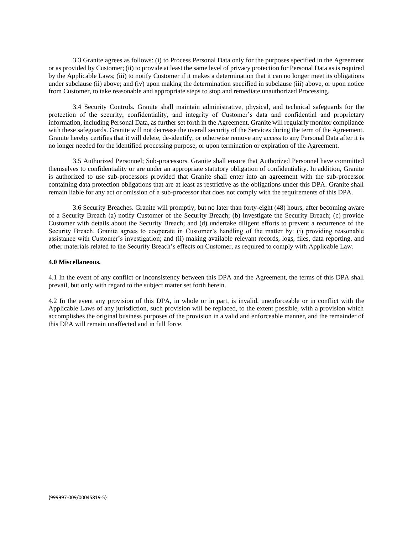3.3 Granite agrees as follows: (i) to Process Personal Data only for the purposes specified in the Agreement or as provided by Customer; (ii) to provide at least the same level of privacy protection for Personal Data as is required by the Applicable Laws; (iii) to notify Customer if it makes a determination that it can no longer meet its obligations under subclause (ii) above; and (iv) upon making the determination specified in subclause (iii) above, or upon notice from Customer, to take reasonable and appropriate steps to stop and remediate unauthorized Processing.

3.4 Security Controls. Granite shall maintain administrative, physical, and technical safeguards for the protection of the security, confidentiality, and integrity of Customer's data and confidential and proprietary information, including Personal Data, as further set forth in the Agreement. Granite will regularly monitor compliance with these safeguards. Granite will not decrease the overall security of the Services during the term of the Agreement. Granite hereby certifies that it will delete, de-identify, or otherwise remove any access to any Personal Data after it is no longer needed for the identified processing purpose, or upon termination or expiration of the Agreement.

3.5 Authorized Personnel; Sub-processors. Granite shall ensure that Authorized Personnel have committed themselves to confidentiality or are under an appropriate statutory obligation of confidentiality. In addition, Granite is authorized to use sub-processors provided that Granite shall enter into an agreement with the sub-processor containing data protection obligations that are at least as restrictive as the obligations under this DPA. Granite shall remain liable for any act or omission of a sub-processor that does not comply with the requirements of this DPA.

3.6 Security Breaches. Granite will promptly, but no later than forty-eight (48) hours, after becoming aware of a Security Breach (a) notify Customer of the Security Breach; (b) investigate the Security Breach; (c) provide Customer with details about the Security Breach; and (d) undertake diligent efforts to prevent a recurrence of the Security Breach. Granite agrees to cooperate in Customer's handling of the matter by: (i) providing reasonable assistance with Customer's investigation; and (ii) making available relevant records, logs, files, data reporting, and other materials related to the Security Breach's effects on Customer, as required to comply with Applicable Law.

#### **4.0 Miscellaneous.**

4.1 In the event of any conflict or inconsistency between this DPA and the Agreement, the terms of this DPA shall prevail, but only with regard to the subject matter set forth herein.

4.2 In the event any provision of this DPA, in whole or in part, is invalid, unenforceable or in conflict with the Applicable Laws of any jurisdiction, such provision will be replaced, to the extent possible, with a provision which accomplishes the original business purposes of the provision in a valid and enforceable manner, and the remainder of this DPA will remain unaffected and in full force.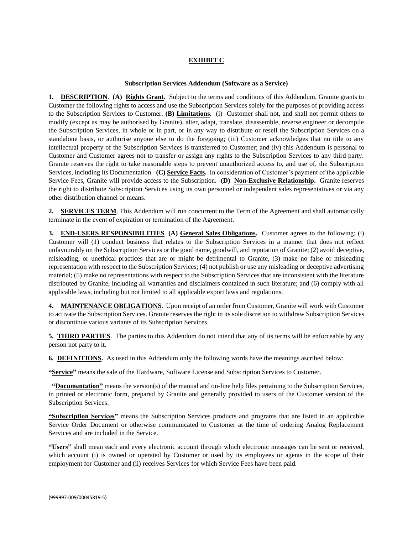# **EXHIBIT C**

#### **Subscription Services Addendum (Software as a Service)**

**1. DESCRIPTION**. **(A) Rights Grant.** Subject to the terms and conditions of this Addendum, Granite grants to Customer the following rights to access and use the Subscription Services solely for the purposes of providing access to the Subscription Services to Customer. **(B) Limitations.** (i) Customer shall not, and shall not permit others to modify (except as may be authorised by Granite), alter, adapt, translate, disassemble, reverse engineer or decompile the Subscription Services, in whole or in part, or in any way to distribute or resell the Subscription Services on a standalone basis, or authorise anyone else to do the foregoing; (iii) Customer acknowledges that no title to any intellectual property of the Subscription Services is transferred to Customer; and (iv) this Addendum is personal to Customer and Customer agrees not to transfer or assign any rights to the Subscription Services to any third party. Granite reserves the right to take reasonable steps to prevent unauthorized access to, and use of, the Subscription Services, including its Documentation. **(C) Service Facts.** In consideration of Customer's payment of the applicable Service Fees, Granite will provide access to the Subscription. (D) Non-Exclusive Relationship. Granite reserves the right to distribute Subscription Services using its own personnel or independent sales representatives or via any other distribution channel or means.

**2. SERVICES TERM**. This Addendum will run concurrent to the Term of the Agreement and shall automatically terminate in the event of expiration or termination of the Agreement.

**3. END-USERS RESPONSIBILITIES**. **(A) General Sales Obligations.** Customer agrees to the following; (i) Customer will (1) conduct business that relates to the Subscription Services in a manner that does not reflect unfavourably on the Subscription Services or the good name, goodwill, and reputation of Granite; (2) avoid deceptive, misleading, or unethical practices that are or might be detrimental to Granite, (3) make no false or misleading representation with respect to the Subscription Services; (4) not publish or use any misleading or deceptive advertising material; (5) make no representations with respect to the Subscription Services that are inconsistent with the literature distributed by Granite, including all warranties and disclaimers contained in such literature; and (6) comply with all applicable laws, including but not limited to all applicable export laws and regulations.

**4. MAINTENANCE OBLIGATIONS**. Upon receipt of an order from Customer, Granite will work with Customer to activate the Subscription Services. Granite reserves the right in its sole discretion to withdraw Subscription Services or discontinue various variants of its Subscription Services.

**5. THIRD PARTIES**. The parties to this Addendum do not intend that any of its terms will be enforceable by any person not party to it.

**6. DEFINITIONS.** As used in this Addendum only the following words have the meanings ascribed below:

**"Service"** means the sale of the Hardware, Software License and Subscription Services to Customer.

 **"Documentation"** means the version(s) of the manual and on-line help files pertaining to the Subscription Services, in printed or electronic form, prepared by Granite and generally provided to users of the Customer version of the Subscription Services.

**"Subscription Services"** means the Subscription Services products and programs that are listed in an applicable Service Order Document or otherwise communicated to Customer at the time of ordering Analog Replacement Services and are included in the Service.

**"Users"** shall mean each and every electronic account through which electronic messages can be sent or received, which account (i) is owned or operated by Customer or used by its employees or agents in the scope of their employment for Customer and (ii) receives Services for which Service Fees have been paid.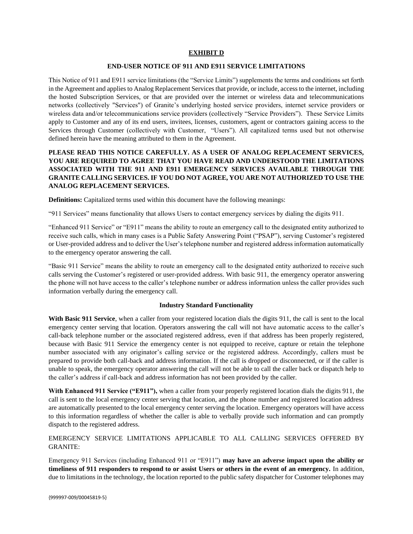# **EXHIBIT D**

### **END-USER NOTICE OF 911 AND E911 SERVICE LIMITATIONS**

This Notice of 911 and E911 service limitations (the "Service Limits") supplements the terms and conditions set forth in the Agreement and applies to Analog Replacement Services that provide, or include, access to the internet, including the hosted Subscription Services, or that are provided over the internet or wireless data and telecommunications networks (collectively "Services") of Granite's underlying hosted service providers, internet service providers or wireless data and/or telecommunications service providers (collectively "Service Providers"). These Service Limits apply to Customer and any of its end users, invitees, licenses, customers, agent or contractors gaining access to the Services through Customer (collectively with Customer, "Users"). All capitalized terms used but not otherwise defined herein have the meaning attributed to them in the Agreement.

# **PLEASE READ THIS NOTICE CAREFULLY. AS A USER OF ANALOG REPLACEMENT SERVICES, YOU ARE REQUIRED TO AGREE THAT YOU HAVE READ AND UNDERSTOOD THE LIMITATIONS ASSOCIATED WITH THE 911 AND E911 EMERGENCY SERVICES AVAILABLE THROUGH THE GRANITE CALLING SERVICES. IF YOU DO NOT AGREE, YOU ARE NOT AUTHORIZED TO USE THE ANALOG REPLACEMENT SERVICES.**

**Definitions:** Capitalized terms used within this document have the following meanings:

"911 Services" means functionality that allows Users to contact emergency services by dialing the digits 911.

"Enhanced 911 Service" or "E911" means the ability to route an emergency call to the designated entity authorized to receive such calls, which in many cases is a Public Safety Answering Point ("PSAP"), serving Customer's registered or User-provided address and to deliver the User's telephone number and registered address information automatically to the emergency operator answering the call.

"Basic 911 Service" means the ability to route an emergency call to the designated entity authorized to receive such calls serving the Customer's registered or user-provided address. With basic 911, the emergency operator answering the phone will not have access to the caller's telephone number or address information unless the caller provides such information verbally during the emergency call.

#### **Industry Standard Functionality**

**With Basic 911 Service**, when a caller from your registered location dials the digits 911, the call is sent to the local emergency center serving that location. Operators answering the call will not have automatic access to the caller's call-back telephone number or the associated registered address, even if that address has been properly registered, because with Basic 911 Service the emergency center is not equipped to receive, capture or retain the telephone number associated with any originator's calling service or the registered address. Accordingly, callers must be prepared to provide both call-back and address information. If the call is dropped or disconnected, or if the caller is unable to speak, the emergency operator answering the call will not be able to call the caller back or dispatch help to the caller's address if call-back and address information has not been provided by the caller.

**With Enhanced 911 Service ("E911"),** when a caller from your properly registered location dials the digits 911, the call is sent to the local emergency center serving that location, and the phone number and registered location address are automatically presented to the local emergency center serving the location. Emergency operators will have access to this information regardless of whether the caller is able to verbally provide such information and can promptly dispatch to the registered address.

EMERGENCY SERVICE LIMITATIONS APPLICABLE TO ALL CALLING SERVICES OFFERED BY GRANITE:

Emergency 911 Services (including Enhanced 911 or "E911") **may have an adverse impact upon the ability or timeliness of 911 responders to respond to or assist Users or others in the event of an emergency.** In addition, due to limitations in the technology, the location reported to the public safety dispatcher for Customer telephones may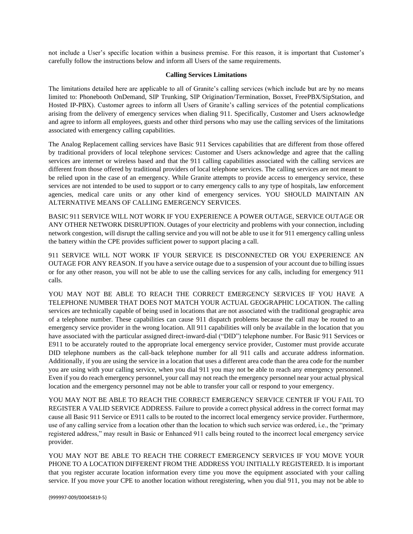not include a User's specific location within a business premise. For this reason, it is important that Customer's carefully follow the instructions below and inform all Users of the same requirements.

#### **Calling Services Limitations**

The limitations detailed here are applicable to all of Granite's calling services (which include but are by no means limited to: Phonebooth OnDemand, SIP Trunking, SIP Origination/Termination, Boxset, FreePBX/SipStation, and Hosted IP-PBX). Customer agrees to inform all Users of Granite's calling services of the potential complications arising from the delivery of emergency services when dialing 911. Specifically, Customer and Users acknowledge and agree to inform all employees, guests and other third persons who may use the calling services of the limitations associated with emergency calling capabilities.

The Analog Replacement calling services have Basic 911 Services capabilities that are different from those offered by traditional providers of local telephone services: Customer and Users acknowledge and agree that the calling services are internet or wireless based and that the 911 calling capabilities associated with the calling services are different from those offered by traditional providers of local telephone services. The calling services are not meant to be relied upon in the case of an emergency. While Granite attempts to provide access to emergency service, these services are not intended to be used to support or to carry emergency calls to any type of hospitals, law enforcement agencies, medical care units or any other kind of emergency services. YOU SHOULD MAINTAIN AN ALTERNATIVE MEANS OF CALLING EMERGENCY SERVICES.

BASIC 911 SERVICE WILL NOT WORK IF YOU EXPERIENCE A POWER OUTAGE, SERVICE OUTAGE OR ANY OTHER NETWORK DISRUPTION. Outages of your electricity and problems with your connection, including network congestion, will disrupt the calling service and you will not be able to use it for 911 emergency calling unless the battery within the CPE provides sufficient power to support placing a call.

911 SERVICE WILL NOT WORK IF YOUR SERVICE IS DISCONNECTED OR YOU EXPERIENCE AN OUTAGE FOR ANY REASON. If you have a service outage due to a suspension of your account due to billing issues or for any other reason, you will not be able to use the calling services for any calls, including for emergency 911 calls.

YOU MAY NOT BE ABLE TO REACH THE CORRECT EMERGENCY SERVICES IF YOU HAVE A TELEPHONE NUMBER THAT DOES NOT MATCH YOUR ACTUAL GEOGRAPHIC LOCATION. The calling services are technically capable of being used in locations that are not associated with the traditional geographic area of a telephone number. These capabilities can cause 911 dispatch problems because the call may be routed to an emergency service provider in the wrong location. All 911 capabilities will only be available in the location that you have associated with the particular assigned direct-inward-dial ("DID") telephone number. For Basic 911 Services or E911 to be accurately routed to the appropriate local emergency service provider, Customer must provide accurate DID telephone numbers as the call-back telephone number for all 911 calls and accurate address information. Additionally, if you are using the service in a location that uses a different area code than the area code for the number you are using with your calling service, when you dial 911 you may not be able to reach any emergency personnel. Even if you do reach emergency personnel, your call may not reach the emergency personnel near your actual physical location and the emergency personnel may not be able to transfer your call or respond to your emergency.

YOU MAY NOT BE ABLE TO REACH THE CORRECT EMERGENCY SERVICE CENTER IF YOU FAIL TO REGISTER A VALID SERVICE ADDRESS. Failure to provide a correct physical address in the correct format may cause all Basic 911 Service or E911 calls to be routed to the incorrect local emergency service provider. Furthermore, use of any calling service from a location other than the location to which such service was ordered, i.e., the "primary registered address," may result in Basic or Enhanced 911 calls being routed to the incorrect local emergency service provider.

YOU MAY NOT BE ABLE TO REACH THE CORRECT EMERGENCY SERVICES IF YOU MOVE YOUR PHONE TO A LOCATION DIFFERENT FROM THE ADDRESS YOU INITIALLY REGISTERED. It is important that you register accurate location information every time you move the equipment associated with your calling service. If you move your CPE to another location without reregistering, when you dial 911, you may not be able to